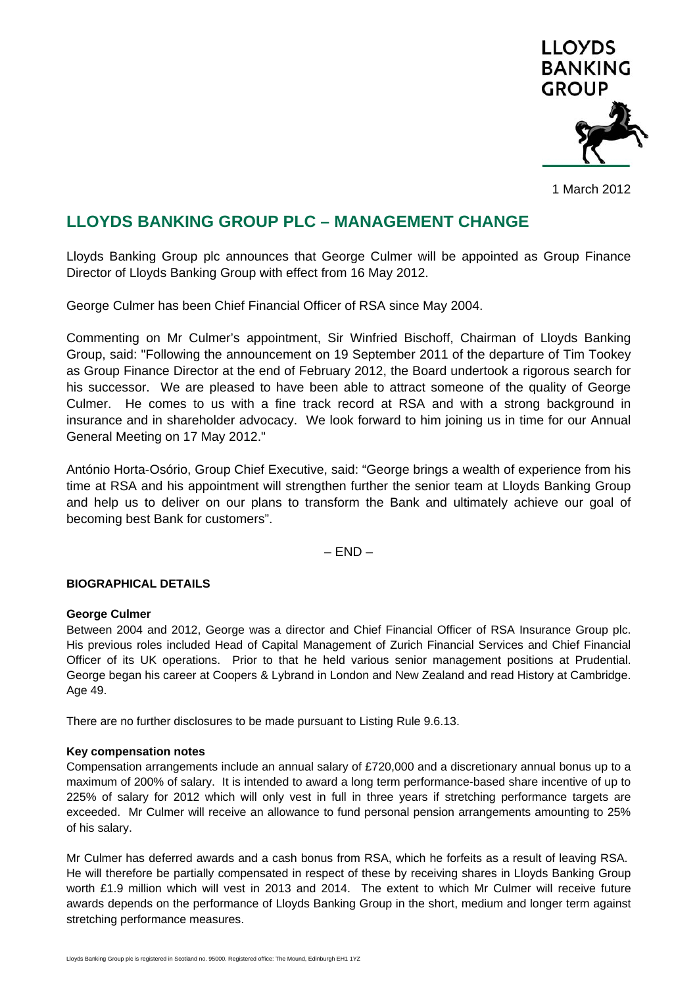

1 March 2012

# **LLOYDS BANKING GROUP PLC – MANAGEMENT CHANGE**

Lloyds Banking Group plc announces that George Culmer will be appointed as Group Finance Director of Lloyds Banking Group with effect from 16 May 2012.

George Culmer has been Chief Financial Officer of RSA since May 2004.

Commenting on Mr Culmer's appointment, Sir Winfried Bischoff, Chairman of Lloyds Banking Group, said: "Following the announcement on 19 September 2011 of the departure of Tim Tookey as Group Finance Director at the end of February 2012, the Board undertook a rigorous search for his successor. We are pleased to have been able to attract someone of the quality of George Culmer. He comes to us with a fine track record at RSA and with a strong background in insurance and in shareholder advocacy. We look forward to him joining us in time for our Annual General Meeting on 17 May 2012."

António Horta-Osório, Group Chief Executive, said: "George brings a wealth of experience from his time at RSA and his appointment will strengthen further the senior team at Lloyds Banking Group and help us to deliver on our plans to transform the Bank and ultimately achieve our goal of becoming best Bank for customers".

– END –

## **BIOGRAPHICAL DETAILS**

## **George Culmer**

Between 2004 and 2012, George was a director and Chief Financial Officer of RSA Insurance Group plc. His previous roles included Head of Capital Management of Zurich Financial Services and Chief Financial Officer of its UK operations. Prior to that he held various senior management positions at Prudential. George began his career at Coopers & Lybrand in London and New Zealand and read History at Cambridge. Age 49.

There are no further disclosures to be made pursuant to Listing Rule 9.6.13.

## **Key compensation notes**

Compensation arrangements include an annual salary of £720,000 and a discretionary annual bonus up to a maximum of 200% of salary. It is intended to award a long term performance-based share incentive of up to 225% of salary for 2012 which will only vest in full in three years if stretching performance targets are exceeded. Mr Culmer will receive an allowance to fund personal pension arrangements amounting to 25% of his salary.

Mr Culmer has deferred awards and a cash bonus from RSA, which he forfeits as a result of leaving RSA. He will therefore be partially compensated in respect of these by receiving shares in Lloyds Banking Group worth £1.9 million which will vest in 2013 and 2014. The extent to which Mr Culmer will receive future awards depends on the performance of Lloyds Banking Group in the short, medium and longer term against stretching performance measures.